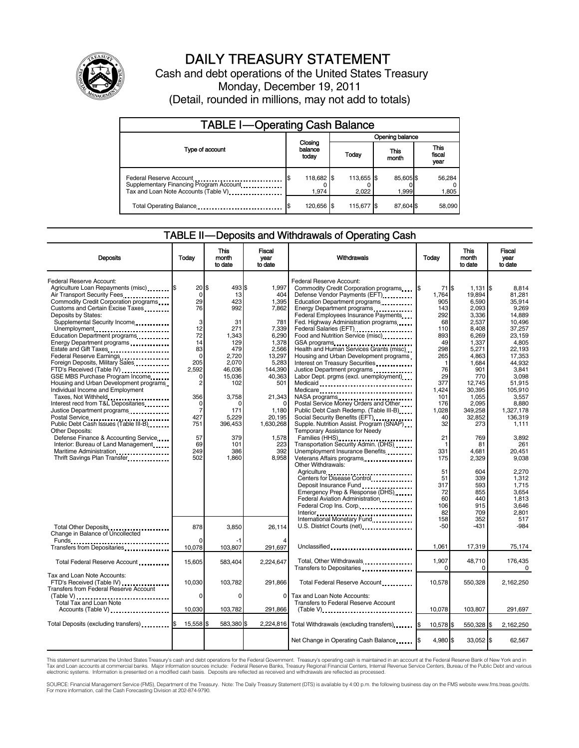

# DAILY TREASURY STATEMENT

Cash and debt operations of the United States Treasury Monday, December 19, 2011 (Detail, rounded in millions, may not add to totals)

| <b>TABLE I-Operating Cash Balance</b>                                                                      |                             |                     |                   |                               |  |  |  |
|------------------------------------------------------------------------------------------------------------|-----------------------------|---------------------|-------------------|-------------------------------|--|--|--|
|                                                                                                            |                             |                     |                   | Opening balance               |  |  |  |
| Type of account                                                                                            | Closing<br>balance<br>today | Today               | This<br>month     | <b>This</b><br>fiscal<br>year |  |  |  |
| Federal Reserve Account<br>Supplementary Financing Program Account<br>Tax and Loan Note Accounts (Table V) | 118,682 \$<br>\$<br>1,974   | 113,655 \$<br>2.022 | 85,605\$<br>1,999 | 56,284<br>1,805               |  |  |  |
| Total Operating Balance                                                                                    | 120,656 \$                  | 115,677 \$          | 87,604 \$         | 58,090                        |  |  |  |

#### TABLE II — Deposits and Withdrawals of Operating Cash

| <b>Deposits</b>                               | Todav              | <b>This</b><br>month<br>to date | Fiscal<br>year<br>to date | Withdrawals                                            | <b>Today</b> | <b>This</b><br>month<br>to date | <b>Fiscal</b><br>vear<br>to date |
|-----------------------------------------------|--------------------|---------------------------------|---------------------------|--------------------------------------------------------|--------------|---------------------------------|----------------------------------|
| Federal Reserve Account:                      |                    |                                 |                           | Federal Reserve Account:                               |              |                                 |                                  |
| Agriculture Loan Repayments (misc) \$         | $20$ $\frac{1}{3}$ | 493                             | 1.997                     | Commodity Credit Corporation programs                  | 71 S         | $1,131$ $\sqrt{5}$              | 8.814                            |
| Air Transport Security Fees                   | $\mathbf 0$        | 13                              | 404                       | Defense Vendor Payments (EFT)                          | 1,764        | 19.894                          | 81.281                           |
| Commodity Credit Corporation programs         | 29                 | 423                             | 1,395                     |                                                        | 905          | 6,590                           | 35.914                           |
|                                               | 76                 | 992                             | 7.862                     | Education Department programs                          |              | 2.093                           |                                  |
| Customs and Certain Excise Taxes              |                    |                                 |                           | Energy Department programs                             | 143          |                                 | 9.269                            |
| Deposits by States:                           |                    |                                 |                           | Federal Employees Insurance Payments                   | 292          | 3.336                           | 14.889                           |
| Supplemental Security Income                  | 3                  | 31                              | 781                       | Fed. Highway Administration programs                   | 68           | 2,537                           | 10.496                           |
| Unemployment                                  | 12                 | 271                             | 7,339                     |                                                        | 110          | 8.408                           | 37.257                           |
| Education Department programs                 | 72                 | 1.343                           | 6.290                     | Food and Nutrition Service (misc)                      | 893          | 6.269                           | 23.159                           |
| Energy Department programs                    | 14                 | 129                             | 1,378                     | GSA programs                                           | 49           | 1,337                           | 4,805                            |
| Estate and Gift Taxes                         | 83                 | 479                             | 2,566                     | Health and Human Services Grants (misc)                | 298          | 5,271                           | 22,193                           |
| Federal Reserve Earnings                      | $\Omega$           | 2,720                           | 13,297                    | Housing and Urban Development programs                 | 265          | 4.863                           | 17.353                           |
| Foreign Deposits, Military Sales              | 205                | 2,070                           | 5,283                     | Interest on Treasury Securities                        | 1            | 1,684                           | 44,932                           |
| FTD's Received (Table IV)                     | 2,592              | 46,036                          | 144,390                   | Justice Department programs                            | 76           | 901                             | 3,841                            |
| GSE MBS Purchase Program Income               | $\Omega$           | 15,036                          | 40,363                    | Labor Dept. prgms (excl. unemployment)                 | 29           | 770                             | 3.098                            |
| Housing and Urban Development programs        | $\overline{2}$     | 102                             | 501                       |                                                        | 377          | 12,745                          | 51.915                           |
|                                               |                    |                                 |                           | Medicaid                                               |              |                                 |                                  |
| Individual Income and Employment              |                    |                                 |                           | Medicare                                               | 1.424        | 30,395                          | 105,910                          |
| Taxes, Not Withheld                           | 356                | 3,758                           | 21,343                    |                                                        | 101          | 1,055                           | 3,557                            |
| Interest recd from T&L Depositaries           | 0                  | C                               | $\Omega$                  | Postal Service Money Orders and Other                  | 176          | 2,095                           | 8.880                            |
| Justice Department programs                   | $\overline{7}$     | 171                             | 1,180                     | Public Debt Cash Redemp. (Table III-B)                 | 1,028        | 349,258                         | 1,327,178                        |
|                                               | 427                | 5,229                           | 20,195                    |                                                        | 40           | 32,852                          | 136,319                          |
| Public Debt Cash Issues (Table III-B)         | 751                | 396,453                         | 1,630,268                 | Supple. Nutrition Assist. Program (SNAP)               | 32           | 273                             | 1.111                            |
| Other Deposits:                               |                    |                                 |                           | Temporary Assistance for Needy                         |              |                                 |                                  |
| Defense Finance & Accounting Service          | 57                 | 379                             | 1,578                     | Families (HHS)<br>Transportation Security Admin. (DHS) | 21           | 769                             | 3,892                            |
| Interior: Bureau of Land Management           | 69                 | 101                             | 223                       |                                                        | -1           | 81                              | 261                              |
| Maritime Administration                       | 249                | 386                             | 392                       | Unemployment Insurance Benefits                        | 331          | 4,681                           | 20,451                           |
|                                               | 502                | 1,860                           | 8,958                     |                                                        | 175          | 2,329                           | 9,038                            |
| Thrift Savings Plan Transfer                  |                    |                                 |                           | Other Withdrawals:                                     |              |                                 |                                  |
|                                               |                    |                                 |                           | Agriculture                                            | 51           | 604                             | 2,270                            |
|                                               |                    |                                 |                           | Centers for Disease Control                            | 51           | 339                             | 1.312                            |
|                                               |                    |                                 |                           | Deposit Insurance Fund                                 | 317          | 593                             | 1,715                            |
|                                               |                    |                                 |                           |                                                        | 72           | 855                             | 3.654                            |
|                                               |                    |                                 |                           | Emergency Prep & Response (DHS)                        |              |                                 |                                  |
|                                               |                    |                                 |                           | Federal Aviation Administration                        | 60           | 440                             | 1,813                            |
|                                               |                    |                                 |                           | Federal Crop Ins. Corp.                                | 106          | 915                             | 3,646                            |
|                                               |                    |                                 |                           |                                                        | 82           | 709                             | 2.801                            |
|                                               |                    |                                 |                           | International Monetary Fund                            | 158          | 352                             | 517                              |
| Total Other Deposits                          | 878                | 3,850                           | 26,114                    |                                                        | $-50$        | $-431$                          | $-984$                           |
| Change in Balance of Uncollected              |                    |                                 |                           |                                                        |              |                                 |                                  |
| <b>Funds</b><br>                              | $\Omega$           |                                 |                           |                                                        |              |                                 |                                  |
| Transfers from Depositaries                   | 10,078             | 103,807                         | 291,697                   | Unclassified                                           | 1,061        | 17,319                          | 75,174                           |
| Total Federal Reserve Account                 | 15,605             | 583,404                         | 2,224,647                 | Total, Other Withdrawals                               | 1,907        | 48,710                          | 176,435                          |
|                                               |                    |                                 |                           |                                                        | 0            | 0                               | $\Omega$                         |
| Tax and Loan Note Accounts:                   |                    |                                 |                           |                                                        |              |                                 |                                  |
| FTD's Received (Table IV)                     | 10.030             | 103,782                         | 291.866                   | Total Federal Reserve Account                          | 10,578       | 550,328                         | 2,162,250                        |
| <b>Transfers from Federal Reserve Account</b> |                    |                                 |                           |                                                        |              |                                 |                                  |
|                                               | $\Omega$           |                                 |                           |                                                        |              |                                 |                                  |
|                                               |                    | $\Omega$                        | 0                         | Tax and Loan Note Accounts:                            |              |                                 |                                  |
| Total Tax and Loan Note                       |                    |                                 |                           | Transfers to Federal Reserve Account                   |              |                                 |                                  |
| Accounts (Table V)                            | 10.030             | 103,782                         | 291,866                   | $(Table V)$                                            | 10.078       | 103,807                         | 291.697                          |
|                                               | 15,558             | 583,380                         | 2,224,816                 |                                                        |              |                                 |                                  |
| Total Deposits (excluding transfers) [65]     |                    |                                 |                           | Total Withdrawals (excluding transfers) [\$            | 10,578 \$    | 550,328 \$                      | 2,162,250                        |
|                                               |                    |                                 |                           |                                                        |              |                                 |                                  |
|                                               |                    |                                 |                           | Net Change in Operating Cash Balance                   | 4.980 \$     | 33,052 \$                       | 62,567                           |
|                                               |                    |                                 |                           |                                                        |              |                                 |                                  |

This statement summarizes the United States Treasury's cash and debt operations for the Federal Government. Treasury's operating cash is maintained in an account at the Federal Reserve Bank of New York and in<br>Tax and Loan

SOURCE: Financial Management Service (FMS), Department of the Treasury. Note: The Daily Treasury Statement (DTS) is available by 4:00 p.m. the following business day on the FMS website www.fms.treas.gov/dts.<br>For more infor